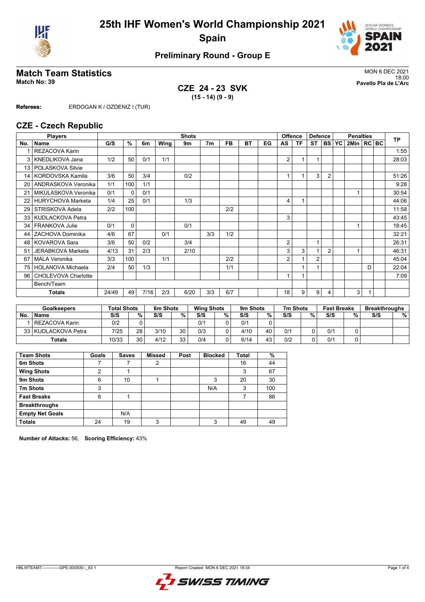



# **Preliminary Round - Group E**

# Match Team Statistics<br>Match No: 39<br>Pavello Pla de L'Arc

**CZE 24 - 23 SVK (15 - 14) (9 - 9)**

18:00 **Match No: 39 Pavello Pla de L'Arc**

**Referees:** ERDOGAN K / OZDENIZ I (TUR)

#### **CZE - Czech Republic**

|                 | <b>Players</b>           |       |              |      |      | <b>Shots</b> | <b>Offence</b> |     |    |    |                |    | <b>Defence</b> |                | <b>Penalties</b> |              |   |  | <b>TP</b> |
|-----------------|--------------------------|-------|--------------|------|------|--------------|----------------|-----|----|----|----------------|----|----------------|----------------|------------------|--------------|---|--|-----------|
| No.             | <b>Name</b>              | G/S   | %            | 6m   | Wing | 9m           | 7 <sub>m</sub> | FB. | BT | EG | AS             | ΤF | ST             |                | <b>BS YC</b>     | 2Min   RC BC |   |  |           |
|                 | <b>REZACOVA Karin</b>    |       |              |      |      |              |                |     |    |    |                |    |                |                |                  |              |   |  | 1:55      |
| 3               | KNEDLIKOVA Jana          | 1/2   | 50           | 0/1  | 1/1  |              |                |     |    |    | 2              |    |                |                |                  |              |   |  | 28:03     |
| 13 <sup>1</sup> | POLASKOVA Silvie         |       |              |      |      |              |                |     |    |    |                |    |                |                |                  |              |   |  |           |
| 14              | KORDOVSKA Kamila         | 3/6   | 50           | 3/4  |      | 0/2          |                |     |    |    | 1              |    | 3              | $\overline{2}$ |                  |              |   |  | 51:26     |
| 20 <sub>1</sub> | ANDRASKOVA Veronika      | 1/1   | 100          | 1/1  |      |              |                |     |    |    |                |    |                |                |                  |              |   |  | 9:28      |
| 21              | MIKULASKOVA Veronika     | 0/1   | $\mathbf{0}$ | 0/1  |      |              |                |     |    |    |                |    |                |                |                  |              |   |  | 30:54     |
| 22              | <b>HURYCHOVA Marketa</b> | 1/4   | 25           | 0/1  |      | 1/3          |                |     |    |    | 4              |    |                |                |                  |              |   |  | 44:06     |
| 29              | <b>STRISKOVA Adela</b>   | 2/2   | 100          |      |      |              |                | 2/2 |    |    |                |    |                |                |                  |              |   |  | 11:58     |
|                 | 33   KUDLACKOVA Petra    |       |              |      |      |              |                |     |    |    | 3              |    |                |                |                  |              |   |  | 43:45     |
| 34              | <b>FRANKOVA Julie</b>    | 0/1   | $\Omega$     |      |      | 0/1          |                |     |    |    |                |    |                |                |                  |              |   |  | 18:45     |
| 44              | ZACHOVA Dominika         | 4/6   | 67           |      | 0/1  |              | 3/3            | 1/2 |    |    |                |    |                |                |                  |              |   |  | 32:21     |
|                 | 48   KOVAROVA Sara       | 3/6   | 50           | 0/2  |      | 3/4          |                |     |    |    | $\overline{2}$ |    | 1              |                |                  |              |   |  | 26:31     |
| 51              | JERABKOVA Marketa        | 4/13  | 31           | 2/3  |      | 2/10         |                |     |    |    | 3              | 3  |                | $\overline{2}$ |                  |              |   |  | 46:31     |
| 67              | <b>MALA Veronika</b>     | 3/3   | 100          |      | 1/1  |              |                | 2/2 |    |    | 2              |    | $\overline{2}$ |                |                  |              |   |  | 45:04     |
| 75              | <b>HOLANOVA Michaela</b> | 2/4   | 50           | 1/3  |      |              |                | 1/1 |    |    |                |    |                |                |                  |              | D |  | 22:04     |
| 96 <sup>1</sup> | CHOLEVOVA Charlotte      |       |              |      |      |              |                |     |    |    | 1              |    |                |                |                  |              |   |  | 7:09      |
|                 | Bench/Team               |       |              |      |      |              |                |     |    |    |                |    |                |                |                  |              |   |  |           |
|                 | <b>Totals</b>            | 24/49 | 49           | 7/16 | 2/3  | 6/20         | 3/3            | 6/7 |    |    | 18             | 9  | 9              | 4              |                  | 3            |   |  |           |

| <b>Goalkeepers</b> |                     | <b>Total Shots</b> |        | 6m Shots |           |     | <b>Wing Shots</b> |      | 9m Shots |     | 7m Shots | <b>Fast Breaks</b> |   | <b>Breakthroughs</b> |   |
|--------------------|---------------------|--------------------|--------|----------|-----------|-----|-------------------|------|----------|-----|----------|--------------------|---|----------------------|---|
| No                 | <b>Name</b>         | S/S                | $\%$ . | S/S      | %         | S/S | %                 | S/S  | %        | S/S | %        | S/S                | % | S/S                  | % |
|                    | l REZACOVA Karin    | 0/2                |        |          |           | 0/1 |                   | 0/1  |          |     |          |                    |   |                      |   |
|                    | 33 KUDLACKOVA Petra | 7/25               | 28     | 3/10     | 30        | 0/3 |                   | 4/10 | 40       | 0/1 |          | 0/1                |   |                      |   |
|                    | <b>Totals</b>       | 10/33              | 30     | 4/12     | 33<br>ں ر | 0/4 |                   | 6/14 | 43       | 0/2 |          | 0/1                |   |                      |   |

| <b>Team Shots</b>      | Goals | <b>Saves</b> | <b>Missed</b> | Post | <b>Blocked</b> | <b>Total</b> | %   |
|------------------------|-------|--------------|---------------|------|----------------|--------------|-----|
| 6m Shots               |       |              | 2             |      |                | 16           | 44  |
| <b>Wing Shots</b>      | ◠     |              |               |      |                | 3            | 67  |
| 9m Shots               | 6     | 10           |               |      | 3              | 20           | 30  |
| 7m Shots               | 3     |              |               |      | N/A            | 3            | 100 |
| <b>Fast Breaks</b>     | 6     |              |               |      |                |              | 86  |
| <b>Breakthroughs</b>   |       |              |               |      |                |              |     |
| <b>Empty Net Goals</b> |       | N/A          |               |      |                |              |     |
| <b>Totals</b>          | 24    | 19           | 3             |      | 3              | 49           | 49  |

**Number of Attacks:** 56, **Scoring Efficiency:** 43%

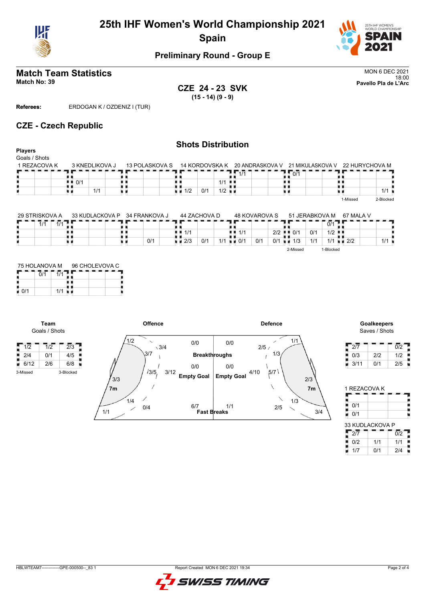



## **Preliminary Round - Group E**

#### **Match Team Statistics** MON 6 DEC 2021 18:00 **Match No: 39 Pavello Pla de L'Arc**

**CZE 24 - 23 SVK (15 - 14) (9 - 9)**

**Referees:** ERDOGAN K / OZDENIZ I (TUR)

### **CZE - Czech Republic**

#### **Shots Distribution Players** Goals / Shots 1 REZACOVA K 3 KNEDLIKOVA J 13 POLASKOVA S 14 KORDOVSKA K 20 ANDRASKOVA V 21 MIKULASKOVA V 22 HURYCHOVA M  $\frac{1}{2}$  0/1  $1/1$  $10/1$ O  $1/1$ 1/1 u p υø  $1/2$  0/1 1/2  $1/1$ ٠ 1-Missed 2-Blocked

| 29 STRISKOVA A     | 33 KUDLACKOVA P | 34 FRANKOVA J | 44 ZACHOVA D       |            | 48 KOVAROVA S                        |                      | 51 JERABKOVA M |                      | 67 MALA V   |     |
|--------------------|-----------------|---------------|--------------------|------------|--------------------------------------|----------------------|----------------|----------------------|-------------|-----|
| 111<br>1/1<br>17 I |                 |               |                    |            |                                      |                      |                | 0/1                  |             |     |
|                    |                 |               | $\blacksquare$ 1/1 |            | 1/1                                  | $2/2$ $\blacksquare$ | 0/1<br>0/1     | $1/2$ $\blacksquare$ |             |     |
|                    |                 | 0/1           | $\blacksquare$ 2/3 | 1/1<br>0/1 | 0/1<br>$\mathbf{u}$ $\mathbf{v}$ 0/1 | 0/1                  | 1/1<br>1/3     |                      | $1/1 = 2/2$ | 111 |
|                    |                 |               |                    |            |                                      |                      | 2-Missed       | 1-Blocked            |             |     |

| 75 HOLANOVA M |     | 96 CHOLEVOVA C |  |
|---------------|-----|----------------|--|
|               |     |                |  |
| በ/1           | 1/1 |                |  |

**Team** Goals / Shots

Н



# Saves / Shots

| 2/7  |     | 0/2 |
|------|-----|-----|
| 0/3  | 2/2 | 1/2 |
| 3/11 | 0/1 | 2/5 |

| 1 REZACOVA K    |     |                  |
|-----------------|-----|------------------|
|                 |     |                  |
| 0/1             |     |                  |
| 0/1             |     |                  |
| 33 KUDLACKOVA P |     |                  |
| $2\overline{7}$ |     | $\overline{0/2}$ |
| 0/2             | 1/1 | 1/1              |
| 1/7             | 0/1 | 2/4              |

| UDIMITEAMZ | CDE 000500 |  |
|------------|------------|--|

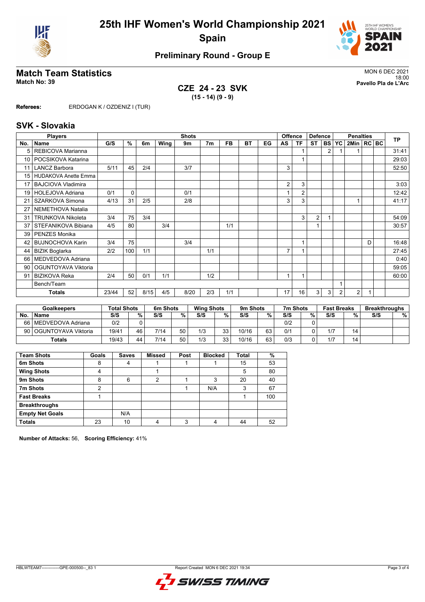



# **Preliminary Round - Group E**

# Match Team Statistics<br>Match No: 39<br>Pavello Pla de L'Arc

**CZE 24 - 23 SVK (15 - 14) (9 - 9)**

18:00 **Match No: 39 Pavello Pla de L'Arc**

**Referees:** ERDOGAN K / OZDENIZ I (TUR)

#### **SVK - Slovakia**

| <b>Shots</b><br><b>Players</b> |                             |       |          |      |      |      | <b>Offence</b> | <b>Defence</b> |    | <b>Penalties</b> |                |                |                | <b>TP</b>      |                |                |   |  |       |
|--------------------------------|-----------------------------|-------|----------|------|------|------|----------------|----------------|----|------------------|----------------|----------------|----------------|----------------|----------------|----------------|---|--|-------|
| No.                            | <b>Name</b>                 | G/S   | %        | 6m   | Wing | 9m   | 7 <sub>m</sub> | FB.            | ВT | EG               | AS             | ΤF             | <b>ST</b>      | <b>BS</b>      | YC             | 2Min   RC   BC |   |  |       |
| 5                              | REBICOVA Marianna           |       |          |      |      |      |                |                |    |                  |                |                |                | $\overline{2}$ |                |                |   |  | 31:41 |
| 10                             | POCSIKOVA Katarina          |       |          |      |      |      |                |                |    |                  |                |                |                |                |                |                |   |  | 29:03 |
| 11                             | <b>LANCZ Barbora</b>        | 5/11  | 45       | 2/4  |      | 3/7  |                |                |    |                  | 3              |                |                |                |                |                |   |  | 52:50 |
| 15 <sup>1</sup>                | <b>HUDAKOVA Anette Emma</b> |       |          |      |      |      |                |                |    |                  |                |                |                |                |                |                |   |  |       |
| 17                             | <b>BAJCIOVA Vladimira</b>   |       |          |      |      |      |                |                |    |                  | 2              | 3              |                |                |                |                |   |  | 3:03  |
| 19                             | HOLEJOVA Adriana            | 0/1   | $\Omega$ |      |      | 0/1  |                |                |    |                  |                | $\overline{2}$ |                |                |                |                |   |  | 12:42 |
| 21                             | SZARKOVA Simona             | 4/13  | 31       | 2/5  |      | 2/8  |                |                |    |                  | 3              | 3              |                |                |                |                |   |  | 41:17 |
| 27                             | NEMETHOVA Natalia           |       |          |      |      |      |                |                |    |                  |                |                |                |                |                |                |   |  |       |
| 31                             | <b>TRUNKOVA Nikoleta</b>    | 3/4   | 75       | 3/4  |      |      |                |                |    |                  |                | 3              | $\overline{2}$ |                |                |                |   |  | 54:09 |
| 37                             | STEFANIKOVA Bibiana         | 4/5   | 80       |      | 3/4  |      |                | 1/1            |    |                  |                |                |                |                |                |                |   |  | 30:57 |
| 39                             | PENZES Monika               |       |          |      |      |      |                |                |    |                  |                |                |                |                |                |                |   |  |       |
| 42                             | <b>BUJNOCHOVA Karin</b>     | 3/4   | 75       |      |      | 3/4  |                |                |    |                  |                |                |                |                |                |                | D |  | 16:48 |
| 44                             | <b>BIZIK Boglarka</b>       | 2/2   | 100      | 1/1  |      |      | 1/1            |                |    |                  | $\overline{7}$ |                |                |                |                |                |   |  | 27:45 |
| 66                             | MEDVEDOVA Adriana           |       |          |      |      |      |                |                |    |                  |                |                |                |                |                |                |   |  | 0:40  |
| 90                             | OGUNTOYAVA Viktoria         |       |          |      |      |      |                |                |    |                  |                |                |                |                |                |                |   |  | 59:05 |
| 91                             | <b>BIZIKOVA Reka</b>        | 2/4   | 50       | 0/1  | 1/1  |      | 1/2            |                |    |                  |                |                |                |                |                |                |   |  | 60:00 |
|                                | Bench/Team                  |       |          |      |      |      |                |                |    |                  |                |                |                |                |                |                |   |  |       |
|                                | <b>Totals</b>               | 23/44 | 52       | 8/15 | 4/5  | 8/20 | 2/3            | 1/1            |    |                  | 17             | 16             | 3              | 3              | $\overline{2}$ | 2              |   |  |       |

|      | <b>Goalkeepers</b>    | <b>Total Shots</b> |        | 6m Shots |    | <b>Wing Shots</b> |    | 9m Shots |    | 7m Shots |   | <b>Fast Breaks</b> |    | <b>Breakthroughs</b> |   |
|------|-----------------------|--------------------|--------|----------|----|-------------------|----|----------|----|----------|---|--------------------|----|----------------------|---|
| No.  | <b>Name</b>           | S/S                | $\%$ . | S/S      | %  | S/S               | %  | S/S      | %  | S/S      | % | S/S                | %  | S/S                  | % |
| 66 I | I MEDVEDOVA Adriana   | 0/2                |        |          |    |                   |    |          |    | 0/2      |   |                    |    |                      |   |
| 90 I | l OGUNTOYAVA Viktoria | 19/41              | 46     | 7/14     | 50 | 1/3               | 33 | 10/16    | 63 | 0/1      |   | 1/7                | 14 |                      |   |
|      | <b>Totals</b>         | 19/43              | 44     | 7/14     | 50 | 1/3               | 33 | 10/16    | 63 | 0/3      |   | 1/7                | 14 |                      |   |

| <b>Team Shots</b>      | Goals | <b>Saves</b> | <b>Missed</b> | Post | <b>Blocked</b> | <b>Total</b> | %   |
|------------------------|-------|--------------|---------------|------|----------------|--------------|-----|
| 6m Shots               | 8     | 4            |               |      |                | 15           | 53  |
| <b>Wing Shots</b>      | 4     |              |               |      |                | 5            | 80  |
| 9m Shots               | 8     | 6            | 2             |      | 3              | 20           | 40  |
| 7m Shots               | 2     |              |               |      | N/A            | 3            | 67  |
| <b>Fast Breaks</b>     |       |              |               |      |                |              | 100 |
| <b>Breakthroughs</b>   |       |              |               |      |                |              |     |
| <b>Empty Net Goals</b> |       | N/A          |               |      |                |              |     |
| <b>Totals</b>          | 23    | 10           |               | ົ    |                | 44           | 52  |

**Number of Attacks:** 56, **Scoring Efficiency:** 41%